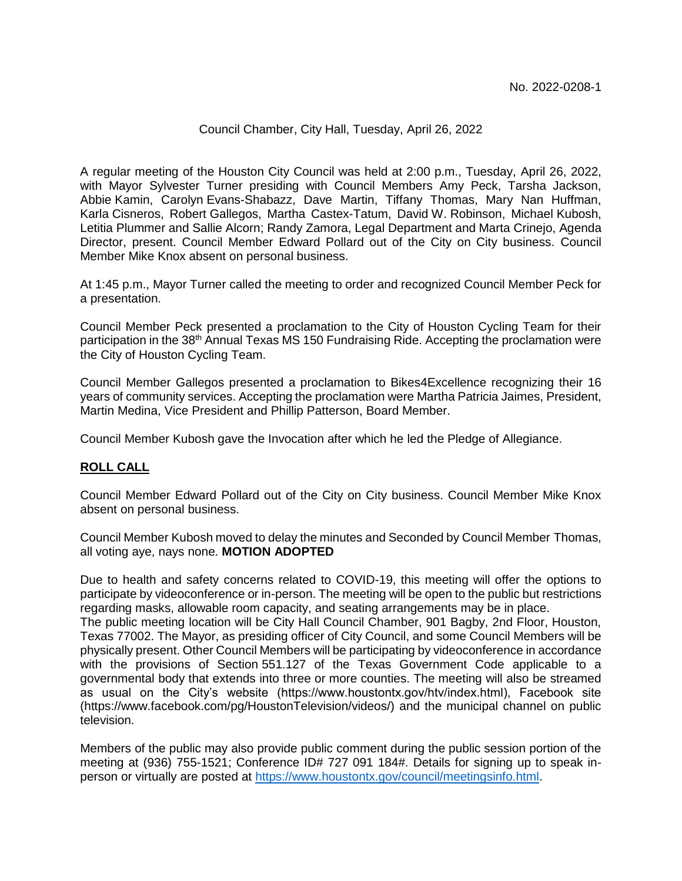#### Council Chamber, City Hall, Tuesday, April 26, 2022

A regular meeting of the Houston City Council was held at 2:00 p.m., Tuesday, April 26, 2022, with Mayor Sylvester Turner presiding with Council Members Amy Peck, Tarsha Jackson, Abbie Kamin, Carolyn Evans-Shabazz, Dave Martin, Tiffany Thomas, Mary Nan Huffman, Karla Cisneros, Robert Gallegos, Martha Castex-Tatum, David W. Robinson, Michael Kubosh, Letitia Plummer and Sallie Alcorn; Randy Zamora, Legal Department and Marta Crinejo, Agenda Director, present. Council Member Edward Pollard out of the City on City business. Council Member Mike Knox absent on personal business.

At 1:45 p.m., Mayor Turner called the meeting to order and recognized Council Member Peck for a presentation.

Council Member Peck presented a proclamation to the City of Houston Cycling Team for their participation in the 38<sup>th</sup> Annual Texas MS 150 Fundraising Ride. Accepting the proclamation were the City of Houston Cycling Team.

Council Member Gallegos presented a proclamation to Bikes4Excellence recognizing their 16 years of community services. Accepting the proclamation were Martha Patricia Jaimes, President, Martin Medina, Vice President and Phillip Patterson, Board Member.

Council Member Kubosh gave the Invocation after which he led the Pledge of Allegiance.

## **ROLL CALL**

Council Member Edward Pollard out of the City on City business. Council Member Mike Knox absent on personal business.

Council Member Kubosh moved to delay the minutes and Seconded by Council Member Thomas, all voting aye, nays none. **MOTION ADOPTED**

Due to health and safety concerns related to COVID-19, this meeting will offer the options to participate by videoconference or in-person. The meeting will be open to the public but restrictions regarding masks, allowable room capacity, and seating arrangements may be in place.

The public meeting location will be City Hall Council Chamber, 901 Bagby, 2nd Floor, Houston, Texas 77002. The Mayor, as presiding officer of City Council, and some Council Members will be physically present. Other Council Members will be participating by videoconference in accordance with the provisions of Section 551.127 of the Texas Government Code applicable to a governmental body that extends into three or more counties. The meeting will also be streamed as usual on the City's website (https://www.houstontx.gov/htv/index.html), Facebook site (https://www.facebook.com/pg/HoustonTelevision/videos/) and the municipal channel on public television.

Members of the public may also provide public comment during the public session portion of the meeting at (936) 755-1521; Conference ID# 727 091 184#. Details for signing up to speak inperson or virtually are posted at [https://www.houstontx.gov/council/meetingsinfo.html.](https://www.houstontx.gov/council/meetingsinfo.html)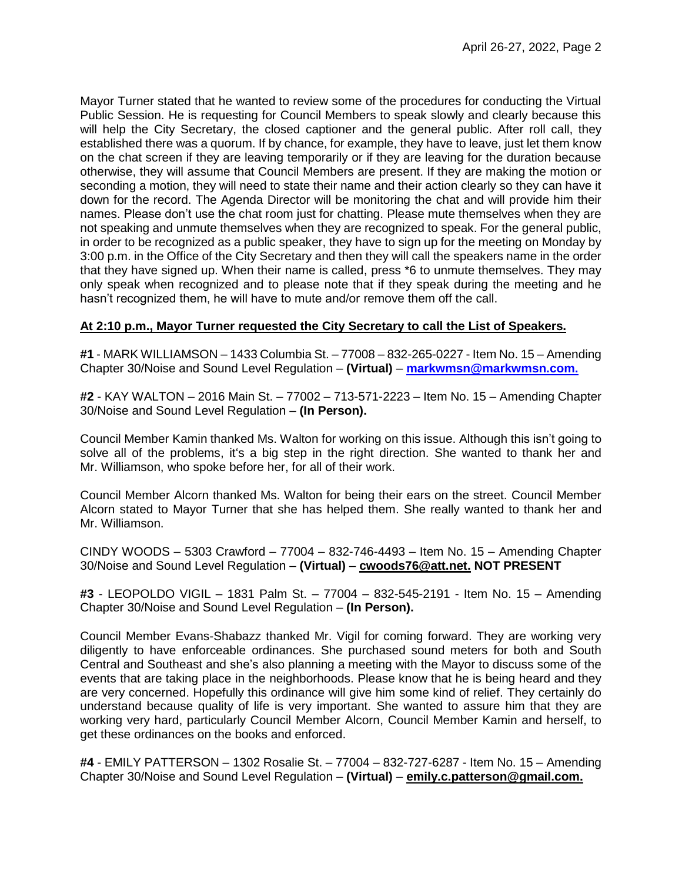Mayor Turner stated that he wanted to review some of the procedures for conducting the Virtual Public Session. He is requesting for Council Members to speak slowly and clearly because this will help the City Secretary, the closed captioner and the general public. After roll call, they established there was a quorum. If by chance, for example, they have to leave, just let them know on the chat screen if they are leaving temporarily or if they are leaving for the duration because otherwise, they will assume that Council Members are present. If they are making the motion or seconding a motion, they will need to state their name and their action clearly so they can have it down for the record. The Agenda Director will be monitoring the chat and will provide him their names. Please don't use the chat room just for chatting. Please mute themselves when they are not speaking and unmute themselves when they are recognized to speak. For the general public, in order to be recognized as a public speaker, they have to sign up for the meeting on Monday by 3:00 p.m. in the Office of the City Secretary and then they will call the speakers name in the order that they have signed up. When their name is called, press \*6 to unmute themselves. They may only speak when recognized and to please note that if they speak during the meeting and he hasn't recognized them, he will have to mute and/or remove them off the call.

# **At 2:10 p.m., Mayor Turner requested the City Secretary to call the List of Speakers.**

**#1** - MARK WILLIAMSON – 1433 Columbia St. – 77008 – 832-265-0227 - Item No. 15 – Amending Chapter 30/Noise and Sound Level Regulation – **(Virtual)** – **[markwmsn@markwmsn.com.](mailto:markwmsn@markwmsn.com)**

**#2** - KAY WALTON – 2016 Main St. – 77002 – 713-571-2223 – Item No. 15 – Amending Chapter 30/Noise and Sound Level Regulation – **(In Person).**

Council Member Kamin thanked Ms. Walton for working on this issue. Although this isn't going to solve all of the problems, it's a big step in the right direction. She wanted to thank her and Mr. Williamson, who spoke before her, for all of their work.

Council Member Alcorn thanked Ms. Walton for being their ears on the street. Council Member Alcorn stated to Mayor Turner that she has helped them. She really wanted to thank her and Mr. Williamson.

CINDY WOODS – 5303 Crawford – 77004 – 832-746-4493 – Item No. 15 – Amending Chapter 30/Noise and Sound Level Regulation – **(Virtual)** – **cwoods76@att.net. NOT PRESENT**

**#3** - LEOPOLDO VIGIL – 1831 Palm St. – 77004 – 832-545-2191 - Item No. 15 – Amending Chapter 30/Noise and Sound Level Regulation – **(In Person).**

Council Member Evans-Shabazz thanked Mr. Vigil for coming forward. They are working very diligently to have enforceable ordinances. She purchased sound meters for both and South Central and Southeast and she's also planning a meeting with the Mayor to discuss some of the events that are taking place in the neighborhoods. Please know that he is being heard and they are very concerned. Hopefully this ordinance will give him some kind of relief. They certainly do understand because quality of life is very important. She wanted to assure him that they are working very hard, particularly Council Member Alcorn, Council Member Kamin and herself, to get these ordinances on the books and enforced.

**#4** - EMILY PATTERSON – 1302 Rosalie St. – 77004 – 832-727-6287 - Item No. 15 – Amending Chapter 30/Noise and Sound Level Regulation – **(Virtual)** – **emily.c.patterson@gmail.com.**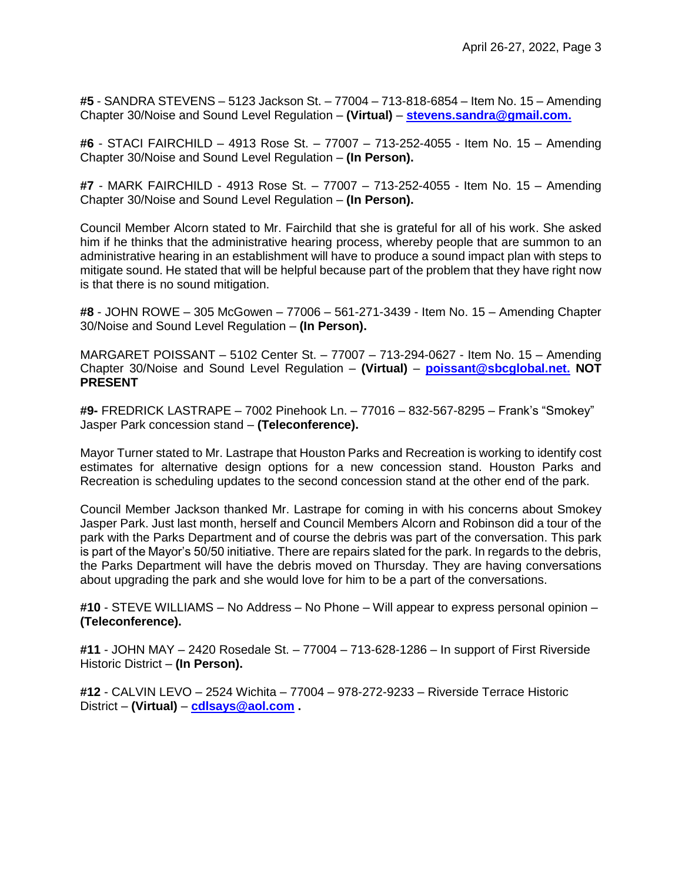**#5** - SANDRA STEVENS – 5123 Jackson St. – 77004 – 713-818-6854 – Item No. 15 – Amending Chapter 30/Noise and Sound Level Regulation – **(Virtual)** – **[stevens.sandra@gmail.com.](mailto:stevens.sandra@gmail.com)**

**#6** - STACI FAIRCHILD – 4913 Rose St. – 77007 – 713-252-4055 - Item No. 15 – Amending Chapter 30/Noise and Sound Level Regulation – **(In Person).**

**#7** - MARK FAIRCHILD - 4913 Rose St. – 77007 – 713-252-4055 - Item No. 15 – Amending Chapter 30/Noise and Sound Level Regulation – **(In Person).**

Council Member Alcorn stated to Mr. Fairchild that she is grateful for all of his work. She asked him if he thinks that the administrative hearing process, whereby people that are summon to an administrative hearing in an establishment will have to produce a sound impact plan with steps to mitigate sound. He stated that will be helpful because part of the problem that they have right now is that there is no sound mitigation.

**#8** - JOHN ROWE – 305 McGowen – 77006 – 561-271-3439 - Item No. 15 – Amending Chapter 30/Noise and Sound Level Regulation – **(In Person).**

MARGARET POISSANT – 5102 Center St. – 77007 – 713-294-0627 - Item No. 15 – Amending Chapter 30/Noise and Sound Level Regulation – **(Virtual)** – **[poissant@sbcglobal.net.](mailto:poissant@sbcglobal.net) NOT PRESENT**

**#9-** FREDRICK LASTRAPE – 7002 Pinehook Ln. – 77016 – 832-567-8295 – Frank's "Smokey" Jasper Park concession stand – **(Teleconference).**

Mayor Turner stated to Mr. Lastrape that Houston Parks and Recreation is working to identify cost estimates for alternative design options for a new concession stand. Houston Parks and Recreation is scheduling updates to the second concession stand at the other end of the park.

Council Member Jackson thanked Mr. Lastrape for coming in with his concerns about Smokey Jasper Park. Just last month, herself and Council Members Alcorn and Robinson did a tour of the park with the Parks Department and of course the debris was part of the conversation. This park is part of the Mayor's 50/50 initiative. There are repairs slated for the park. In regards to the debris, the Parks Department will have the debris moved on Thursday. They are having conversations about upgrading the park and she would love for him to be a part of the conversations.

**#10** - STEVE WILLIAMS – No Address – No Phone – Will appear to express personal opinion – **(Teleconference).**

**#11** - JOHN MAY – 2420 Rosedale St. – 77004 – 713-628-1286 – In support of First Riverside Historic District – **(In Person).**

**#12** - CALVIN LEVO – 2524 Wichita – 77004 – 978-272-9233 – Riverside Terrace Historic District – **(Virtual)** – **[cdlsays@aol.com](mailto:cdlsays@aol.com) .**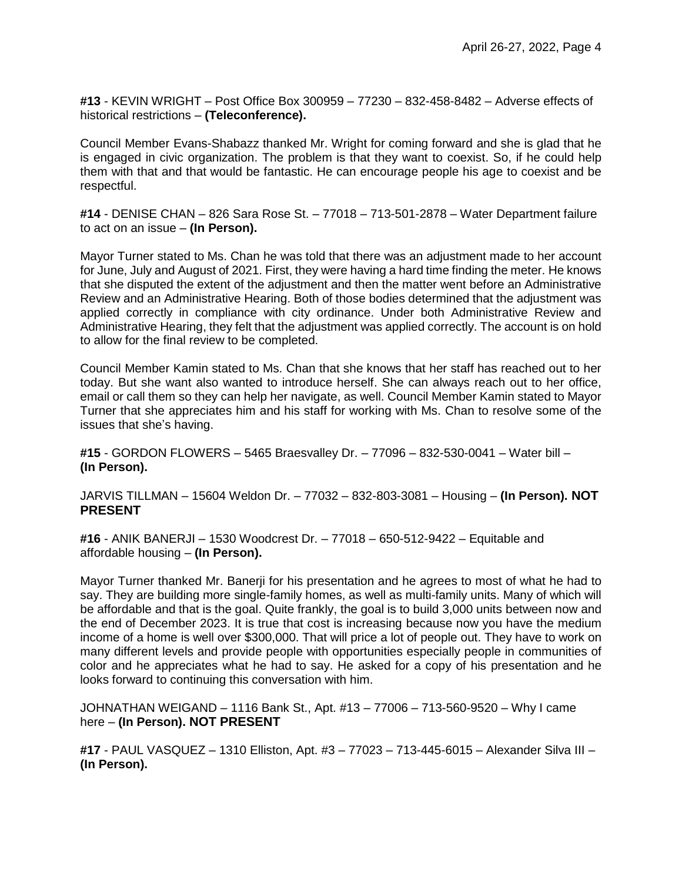**#13** - KEVIN WRIGHT – Post Office Box 300959 – 77230 – 832-458-8482 – Adverse effects of historical restrictions – **(Teleconference).**

Council Member Evans-Shabazz thanked Mr. Wright for coming forward and she is glad that he is engaged in civic organization. The problem is that they want to coexist. So, if he could help them with that and that would be fantastic. He can encourage people his age to coexist and be respectful.

**#14** - DENISE CHAN – 826 Sara Rose St. – 77018 – 713-501-2878 – Water Department failure to act on an issue – **(In Person).**

Mayor Turner stated to Ms. Chan he was told that there was an adjustment made to her account for June, July and August of 2021. First, they were having a hard time finding the meter. He knows that she disputed the extent of the adjustment and then the matter went before an Administrative Review and an Administrative Hearing. Both of those bodies determined that the adjustment was applied correctly in compliance with city ordinance. Under both Administrative Review and Administrative Hearing, they felt that the adjustment was applied correctly. The account is on hold to allow for the final review to be completed.

Council Member Kamin stated to Ms. Chan that she knows that her staff has reached out to her today. But she want also wanted to introduce herself. She can always reach out to her office, email or call them so they can help her navigate, as well. Council Member Kamin stated to Mayor Turner that she appreciates him and his staff for working with Ms. Chan to resolve some of the issues that she's having.

**#15** - GORDON FLOWERS – 5465 Braesvalley Dr. – 77096 – 832-530-0041 – Water bill – **(In Person).**

JARVIS TILLMAN – 15604 Weldon Dr. – 77032 – 832-803-3081 – Housing – **(In Person). NOT PRESENT**

**#16** - ANIK BANERJI – 1530 Woodcrest Dr. – 77018 – 650-512-9422 – Equitable and affordable housing – **(In Person).**

Mayor Turner thanked Mr. Banerji for his presentation and he agrees to most of what he had to say. They are building more single-family homes, as well as multi-family units. Many of which will be affordable and that is the goal. Quite frankly, the goal is to build 3,000 units between now and the end of December 2023. It is true that cost is increasing because now you have the medium income of a home is well over \$300,000. That will price a lot of people out. They have to work on many different levels and provide people with opportunities especially people in communities of color and he appreciates what he had to say. He asked for a copy of his presentation and he looks forward to continuing this conversation with him.

JOHNATHAN WEIGAND – 1116 Bank St., Apt. #13 – 77006 – 713-560-9520 – Why I came here – **(In Person). NOT PRESENT**

**#17** - PAUL VASQUEZ – 1310 Elliston, Apt. #3 – 77023 – 713-445-6015 – Alexander Silva III – **(In Person).**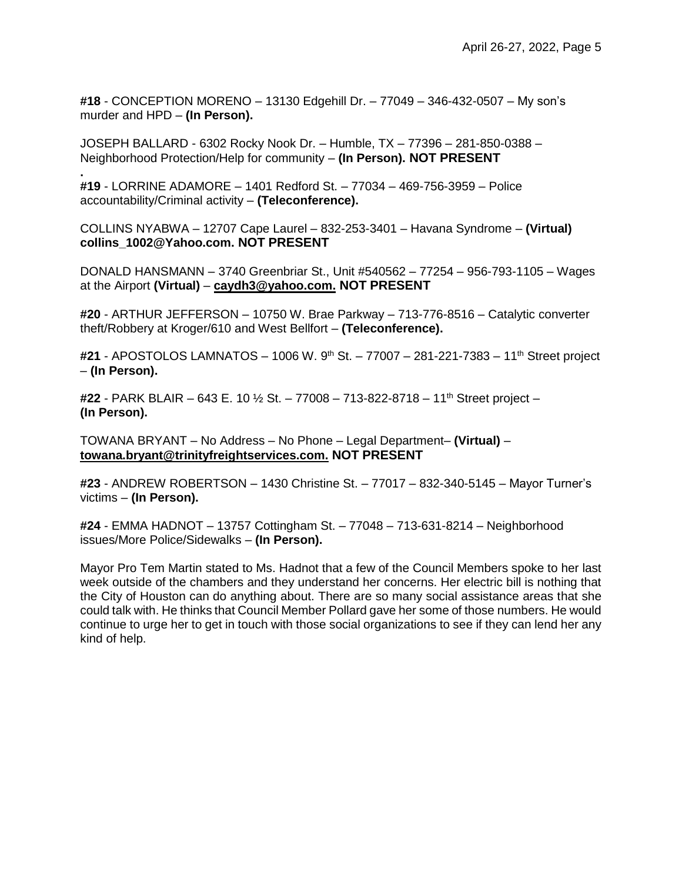**#18** - CONCEPTION MORENO – 13130 Edgehill Dr. – 77049 – 346-432-0507 – My son's murder and HPD – **(In Person).**

JOSEPH BALLARD - 6302 Rocky Nook Dr. – Humble, TX – 77396 – 281-850-0388 – Neighborhood Protection/Help for community – **(In Person). NOT PRESENT**

**#19** - LORRINE ADAMORE – 1401 Redford St. – 77034 – 469-756-3959 – Police accountability/Criminal activity – **(Teleconference).**

**.**

COLLINS NYABWA – 12707 Cape Laurel – 832-253-3401 – Havana Syndrome – **(Virtual) collins\_1002@Yahoo.com. NOT PRESENT**

DONALD HANSMANN – 3740 Greenbriar St., Unit #540562 – 77254 – 956-793-1105 – Wages at the Airport **(Virtual)** – **caydh3@yahoo.com. NOT PRESENT**

**#20** - ARTHUR JEFFERSON – 10750 W. Brae Parkway – 713-776-8516 – Catalytic converter theft/Robbery at Kroger/610 and West Bellfort – **(Teleconference).**

**#21** - APOSTOLOS LAMNATOS – 1006 W. 9th St. – 77007 – 281-221-7383 – 11th Street project – **(In Person).**

**#22** - PARK BLAIR – 643 E. 10 ½ St. – 77008 – 713-822-8718 – 11th Street project – **(In Person).**

TOWANA BRYANT – No Address – No Phone – Legal Department– **(Virtual)** – **towana.bryant@trinityfreightservices.com. NOT PRESENT**

**#23** - ANDREW ROBERTSON – 1430 Christine St. – 77017 – 832-340-5145 – Mayor Turner's victims – **(In Person).**

**#24** - EMMA HADNOT – 13757 Cottingham St. – 77048 – 713-631-8214 – Neighborhood issues/More Police/Sidewalks – **(In Person).**

Mayor Pro Tem Martin stated to Ms. Hadnot that a few of the Council Members spoke to her last week outside of the chambers and they understand her concerns. Her electric bill is nothing that the City of Houston can do anything about. There are so many social assistance areas that she could talk with. He thinks that Council Member Pollard gave her some of those numbers. He would continue to urge her to get in touch with those social organizations to see if they can lend her any kind of help.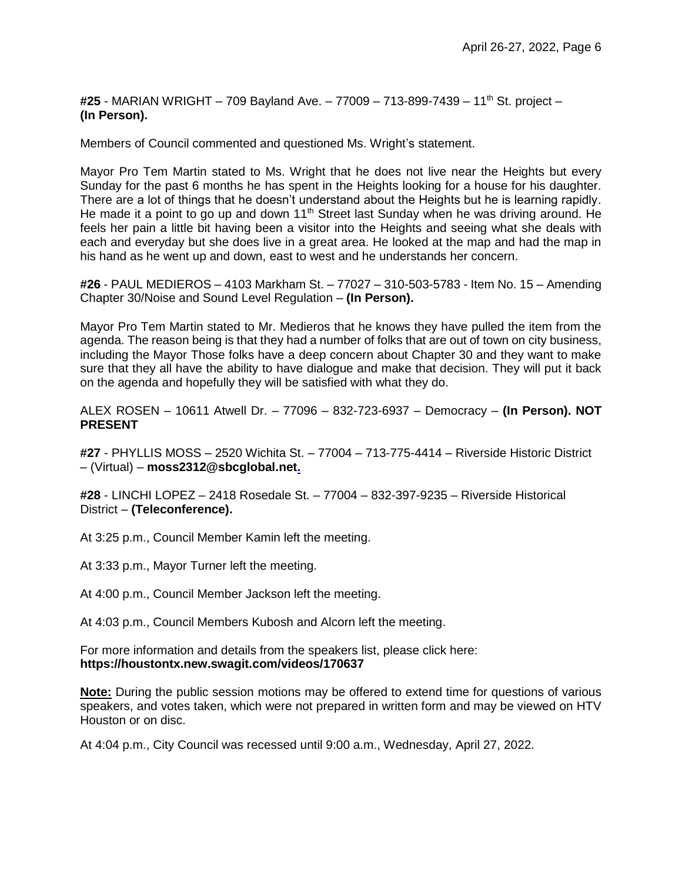**#25** - MARIAN WRIGHT – 709 Bayland Ave. – 77009 – 713-899-7439 – 11th St. project – **(In Person).**

Members of Council commented and questioned Ms. Wright's statement.

Mayor Pro Tem Martin stated to Ms. Wright that he does not live near the Heights but every Sunday for the past 6 months he has spent in the Heights looking for a house for his daughter. There are a lot of things that he doesn't understand about the Heights but he is learning rapidly. He made it a point to go up and down  $11<sup>th</sup>$  Street last Sunday when he was driving around. He feels her pain a little bit having been a visitor into the Heights and seeing what she deals with each and everyday but she does live in a great area. He looked at the map and had the map in his hand as he went up and down, east to west and he understands her concern.

**#26** - PAUL MEDIEROS – 4103 Markham St. – 77027 – 310-503-5783 - Item No. 15 – Amending Chapter 30/Noise and Sound Level Regulation – **(In Person).**

Mayor Pro Tem Martin stated to Mr. Medieros that he knows they have pulled the item from the agenda. The reason being is that they had a number of folks that are out of town on city business, including the Mayor Those folks have a deep concern about Chapter 30 and they want to make sure that they all have the ability to have dialogue and make that decision. They will put it back on the agenda and hopefully they will be satisfied with what they do.

ALEX ROSEN – 10611 Atwell Dr. – 77096 – 832-723-6937 – Democracy – **(In Person). NOT PRESENT**

**#27** - PHYLLIS MOSS – 2520 Wichita St. – 77004 – 713-775-4414 – Riverside Historic District – (Virtual) – **moss2312@sbcglobal.net.**

**#28** - LINCHI LOPEZ – 2418 Rosedale St. – 77004 – 832-397-9235 – Riverside Historical District – **(Teleconference).**

At 3:25 p.m., Council Member Kamin left the meeting.

At 3:33 p.m., Mayor Turner left the meeting.

At 4:00 p.m., Council Member Jackson left the meeting.

At 4:03 p.m., Council Members Kubosh and Alcorn left the meeting.

For more information and details from the speakers list, please click here: **https://houstontx.new.swagit.com/videos/170637**

**Note:** During the public session motions may be offered to extend time for questions of various speakers, and votes taken, which were not prepared in written form and may be viewed on HTV Houston or on disc.

At 4:04 p.m., City Council was recessed until 9:00 a.m., Wednesday, April 27, 2022.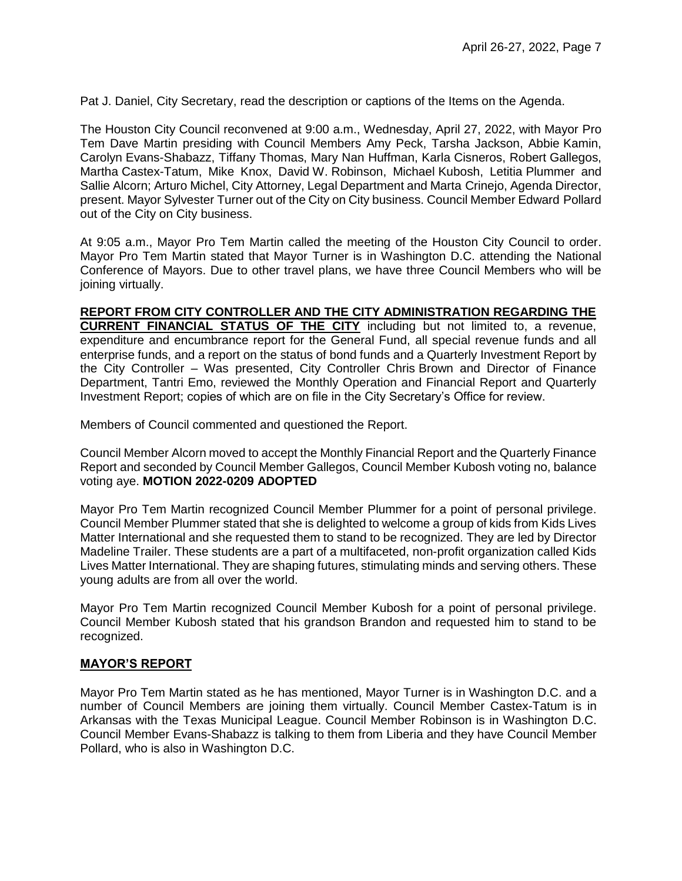Pat J. Daniel, City Secretary, read the description or captions of the Items on the Agenda.

The Houston City Council reconvened at 9:00 a.m., Wednesday, April 27, 2022, with Mayor Pro Tem Dave Martin presiding with Council Members Amy Peck, Tarsha Jackson, Abbie Kamin, Carolyn Evans-Shabazz, Tiffany Thomas, Mary Nan Huffman, Karla Cisneros, Robert Gallegos, Martha Castex-Tatum, Mike Knox, David W. Robinson, Michael Kubosh, Letitia Plummer and Sallie Alcorn; Arturo Michel, City Attorney, Legal Department and Marta Crinejo, Agenda Director, present. Mayor Sylvester Turner out of the City on City business. Council Member Edward Pollard out of the City on City business.

At 9:05 a.m., Mayor Pro Tem Martin called the meeting of the Houston City Council to order. Mayor Pro Tem Martin stated that Mayor Turner is in Washington D.C. attending the National Conference of Mayors. Due to other travel plans, we have three Council Members who will be joining virtually.

**REPORT FROM CITY CONTROLLER AND THE CITY ADMINISTRATION REGARDING THE CURRENT FINANCIAL STATUS OF THE CITY** including but not limited to, a revenue, expenditure and encumbrance report for the General Fund, all special revenue funds and all enterprise funds, and a report on the status of bond funds and a Quarterly Investment Report by the City Controller – Was presented, City Controller Chris Brown and Director of Finance Department, Tantri Emo, reviewed the Monthly Operation and Financial Report and Quarterly Investment Report; copies of which are on file in the City Secretary's Office for review.

Members of Council commented and questioned the Report.

Council Member Alcorn moved to accept the Monthly Financial Report and the Quarterly Finance Report and seconded by Council Member Gallegos, Council Member Kubosh voting no, balance voting aye. **MOTION 2022-0209 ADOPTED** 

Mayor Pro Tem Martin recognized Council Member Plummer for a point of personal privilege. Council Member Plummer stated that she is delighted to welcome a group of kids from Kids Lives Matter International and she requested them to stand to be recognized. They are led by Director Madeline Trailer. These students are a part of a multifaceted, non-profit organization called Kids Lives Matter International. They are shaping futures, stimulating minds and serving others. These young adults are from all over the world.

Mayor Pro Tem Martin recognized Council Member Kubosh for a point of personal privilege. Council Member Kubosh stated that his grandson Brandon and requested him to stand to be recognized.

## **MAYOR'S REPORT**

Mayor Pro Tem Martin stated as he has mentioned, Mayor Turner is in Washington D.C. and a number of Council Members are joining them virtually. Council Member Castex-Tatum is in Arkansas with the Texas Municipal League. Council Member Robinson is in Washington D.C. Council Member Evans-Shabazz is talking to them from Liberia and they have Council Member Pollard, who is also in Washington D.C.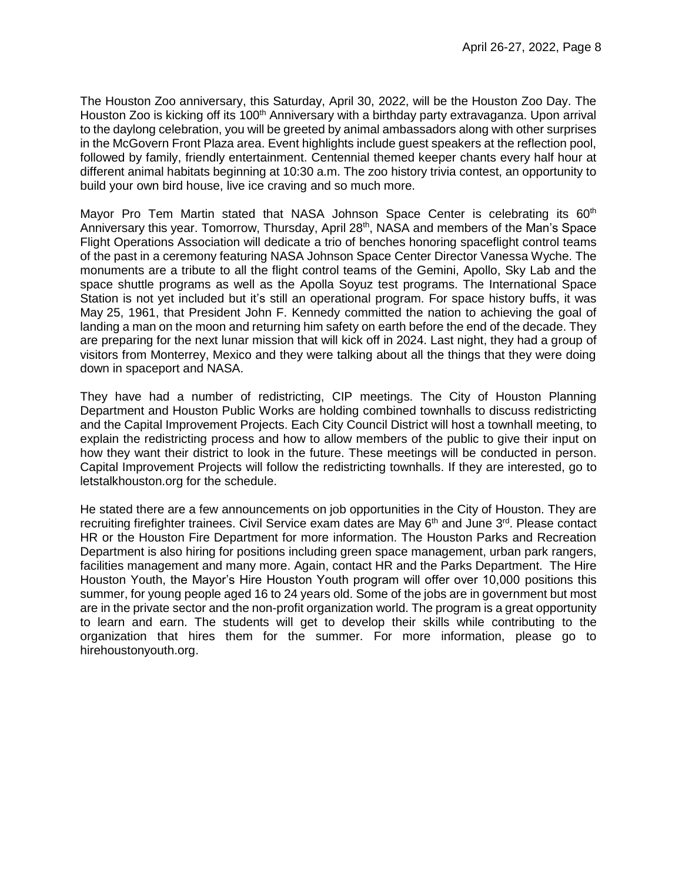The Houston Zoo anniversary, this Saturday, April 30, 2022, will be the Houston Zoo Day. The Houston Zoo is kicking off its 100<sup>th</sup> Anniversary with a birthday party extravaganza. Upon arrival to the daylong celebration, you will be greeted by animal ambassadors along with other surprises in the McGovern Front Plaza area. Event highlights include guest speakers at the reflection pool, followed by family, friendly entertainment. Centennial themed keeper chants every half hour at different animal habitats beginning at 10:30 a.m. The zoo history trivia contest, an opportunity to build your own bird house, live ice craving and so much more.

Mayor Pro Tem Martin stated that NASA Johnson Space Center is celebrating its  $60<sup>th</sup>$ Anniversary this year. Tomorrow, Thursday, April 28<sup>th</sup>, NASA and members of the Man's Space Flight Operations Association will dedicate a trio of benches honoring spaceflight control teams of the past in a ceremony featuring NASA Johnson Space Center Director Vanessa Wyche. The monuments are a tribute to all the flight control teams of the Gemini, Apollo, Sky Lab and the space shuttle programs as well as the Apolla Soyuz test programs. The International Space Station is not yet included but it's still an operational program. For space history buffs, it was May 25, 1961, that President John F. Kennedy committed the nation to achieving the goal of landing a man on the moon and returning him safety on earth before the end of the decade. They are preparing for the next lunar mission that will kick off in 2024. Last night, they had a group of visitors from Monterrey, Mexico and they were talking about all the things that they were doing down in spaceport and NASA.

They have had a number of redistricting, CIP meetings. The City of Houston Planning Department and Houston Public Works are holding combined townhalls to discuss redistricting and the Capital Improvement Projects. Each City Council District will host a townhall meeting, to explain the redistricting process and how to allow members of the public to give their input on how they want their district to look in the future. These meetings will be conducted in person. Capital Improvement Projects will follow the redistricting townhalls. If they are interested, go to letstalkhouston.org for the schedule.

He stated there are a few announcements on job opportunities in the City of Houston. They are recruiting firefighter trainees. Civil Service exam dates are May 6<sup>th</sup> and June 3<sup>rd</sup>. Please contact HR or the Houston Fire Department for more information. The Houston Parks and Recreation Department is also hiring for positions including green space management, urban park rangers, facilities management and many more. Again, contact HR and the Parks Department. The Hire Houston Youth, the Mayor's Hire Houston Youth program will offer over 10,000 positions this summer, for young people aged 16 to 24 years old. Some of the jobs are in government but most are in the private sector and the non-profit organization world. The program is a great opportunity to learn and earn. The students will get to develop their skills while contributing to the organization that hires them for the summer. For more information, please go to hirehoustonyouth.org.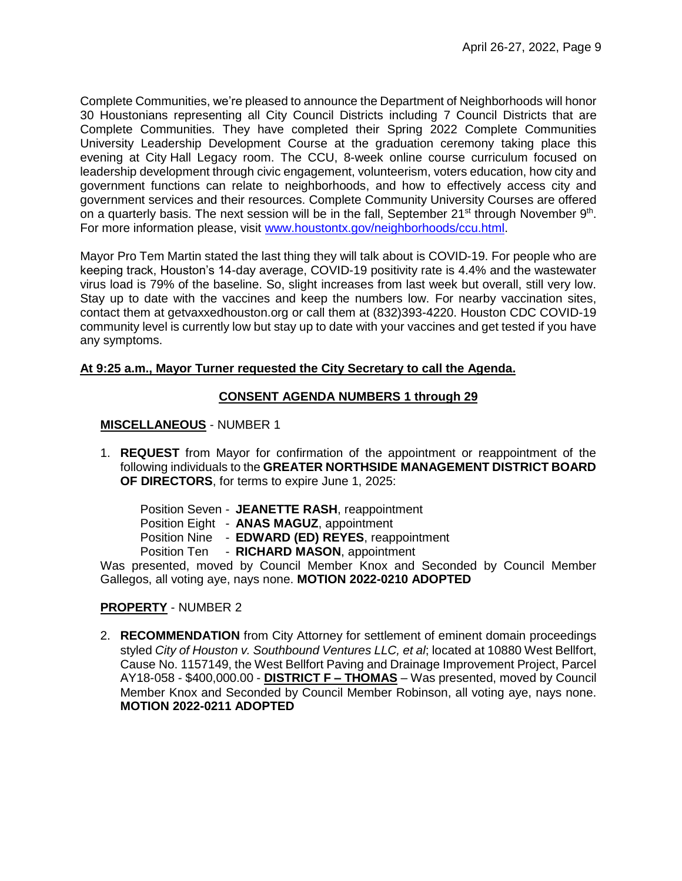Complete Communities, we're pleased to announce the Department of Neighborhoods will honor 30 Houstonians representing all City Council Districts including 7 Council Districts that are Complete Communities. They have completed their Spring 2022 Complete Communities University Leadership Development Course at the graduation ceremony taking place this evening at City Hall Legacy room. The CCU, 8-week online course curriculum focused on leadership development through civic engagement, volunteerism, voters education, how city and government functions can relate to neighborhoods, and how to effectively access city and government services and their resources. Complete Community University Courses are offered on a quarterly basis. The next session will be in the fall, September 21<sup>st</sup> through November  $9<sup>th</sup>$ . For more information please, visit [www.houstontx.gov/neighborhoods/ccu.html.](http://www.houstontx.gov/neighborhoods/ccu.html)

Mayor Pro Tem Martin stated the last thing they will talk about is COVID-19. For people who are keeping track, Houston's 14-day average, COVID-19 positivity rate is 4.4% and the wastewater virus load is 79% of the baseline. So, slight increases from last week but overall, still very low. Stay up to date with the vaccines and keep the numbers low. For nearby vaccination sites, contact them at getvaxxedhouston.org or call them at (832)393-4220. Houston CDC COVID-19 community level is currently low but stay up to date with your vaccines and get tested if you have any symptoms.

## **At 9:25 a.m., Mayor Turner requested the City Secretary to call the Agenda.**

### **CONSENT AGENDA NUMBERS 1 through 29**

### **MISCELLANEOUS** - NUMBER 1

1. **REQUEST** from Mayor for confirmation of the appointment or reappointment of the following individuals to the **GREATER NORTHSIDE MANAGEMENT DISTRICT BOARD OF DIRECTORS**, for terms to expire June 1, 2025:

Position Seven - **JEANETTE RASH**, reappointment Position Eight - **ANAS MAGUZ**, appointment Position Nine - **EDWARD (ED) REYES**, reappointment Position Ten - **RICHARD MASON**, appointment

Was presented, moved by Council Member Knox and Seconded by Council Member Gallegos, all voting aye, nays none. **MOTION 2022-0210 ADOPTED**

## **PROPERTY** - NUMBER 2

2. **RECOMMENDATION** from City Attorney for settlement of eminent domain proceedings styled *City of Houston v. Southbound Ventures LLC, et al*; located at 10880 West Bellfort, Cause No. 1157149, the West Bellfort Paving and Drainage Improvement Project, Parcel AY18-058 - \$400,000.00 - **DISTRICT F – THOMAS** – Was presented, moved by Council Member Knox and Seconded by Council Member Robinson, all voting aye, nays none. **MOTION 2022-0211 ADOPTED**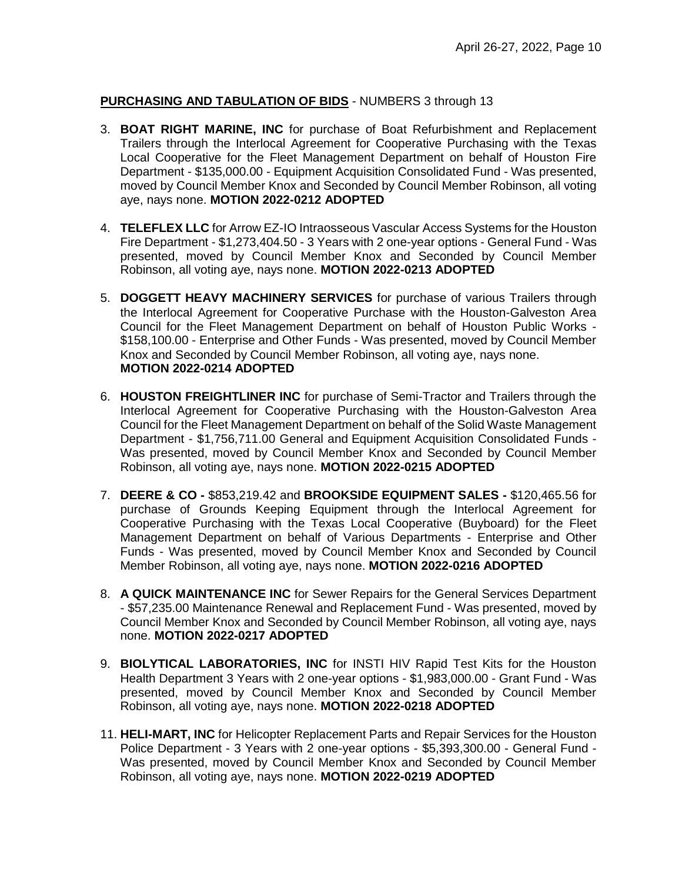# **PURCHASING AND TABULATION OF BIDS** - NUMBERS 3 through 13

- 3. **BOAT RIGHT MARINE, INC** for purchase of Boat Refurbishment and Replacement Trailers through the Interlocal Agreement for Cooperative Purchasing with the Texas Local Cooperative for the Fleet Management Department on behalf of Houston Fire Department - \$135,000.00 - Equipment Acquisition Consolidated Fund - Was presented, moved by Council Member Knox and Seconded by Council Member Robinson, all voting aye, nays none. **MOTION 2022-0212 ADOPTED**
- 4. **TELEFLEX LLC** for Arrow EZ-IO Intraosseous Vascular Access Systems for the Houston Fire Department - \$1,273,404.50 - 3 Years with 2 one-year options - General Fund - Was presented, moved by Council Member Knox and Seconded by Council Member Robinson, all voting aye, nays none. **MOTION 2022-0213 ADOPTED**
- 5. **DOGGETT HEAVY MACHINERY SERVICES** for purchase of various Trailers through the Interlocal Agreement for Cooperative Purchase with the Houston-Galveston Area Council for the Fleet Management Department on behalf of Houston Public Works - \$158,100.00 - Enterprise and Other Funds - Was presented, moved by Council Member Knox and Seconded by Council Member Robinson, all voting aye, nays none. **MOTION 2022-0214 ADOPTED**
- 6. **HOUSTON FREIGHTLINER INC** for purchase of Semi-Tractor and Trailers through the Interlocal Agreement for Cooperative Purchasing with the Houston-Galveston Area Council for the Fleet Management Department on behalf of the Solid Waste Management Department - \$1,756,711.00 General and Equipment Acquisition Consolidated Funds - Was presented, moved by Council Member Knox and Seconded by Council Member Robinson, all voting aye, nays none. **MOTION 2022-0215 ADOPTED**
- 7. **DEERE & CO -** \$853,219.42 and **BROOKSIDE EQUIPMENT SALES -** \$120,465.56 for purchase of Grounds Keeping Equipment through the Interlocal Agreement for Cooperative Purchasing with the Texas Local Cooperative (Buyboard) for the Fleet Management Department on behalf of Various Departments - Enterprise and Other Funds - Was presented, moved by Council Member Knox and Seconded by Council Member Robinson, all voting aye, nays none. **MOTION 2022-0216 ADOPTED**
- 8. **A QUICK MAINTENANCE INC** for Sewer Repairs for the General Services Department - \$57,235.00 Maintenance Renewal and Replacement Fund - Was presented, moved by Council Member Knox and Seconded by Council Member Robinson, all voting aye, nays none. **MOTION 2022-0217 ADOPTED**
- 9. **BIOLYTICAL LABORATORIES, INC** for INSTI HIV Rapid Test Kits for the Houston Health Department 3 Years with 2 one-year options - \$1,983,000.00 - Grant Fund - Was presented, moved by Council Member Knox and Seconded by Council Member Robinson, all voting aye, nays none. **MOTION 2022-0218 ADOPTED**
- 11. **HELI-MART, INC** for Helicopter Replacement Parts and Repair Services for the Houston Police Department - 3 Years with 2 one-year options - \$5,393,300.00 - General Fund - Was presented, moved by Council Member Knox and Seconded by Council Member Robinson, all voting aye, nays none. **MOTION 2022-0219 ADOPTED**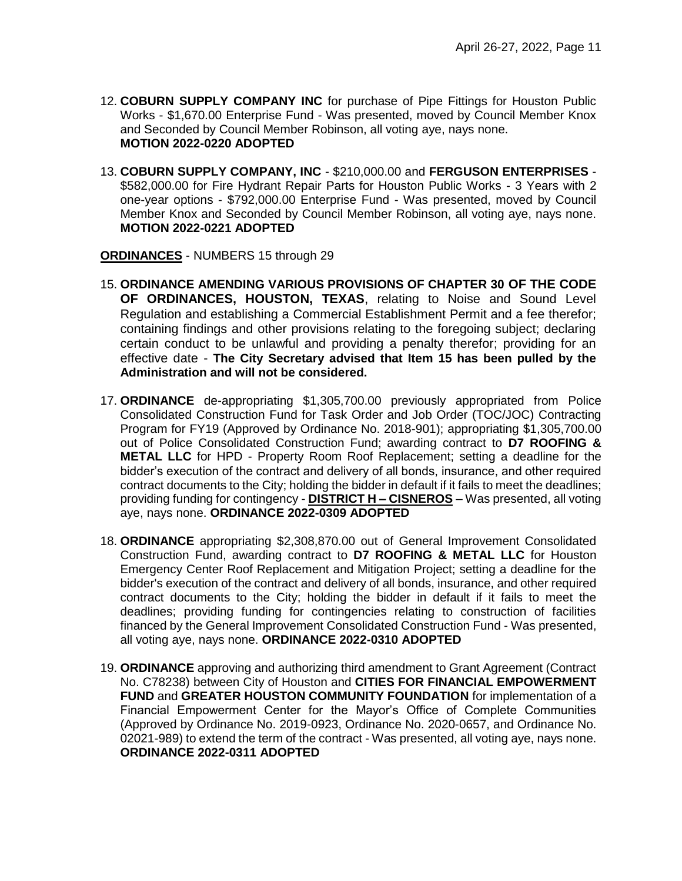- 12. **COBURN SUPPLY COMPANY INC** for purchase of Pipe Fittings for Houston Public Works - \$1,670.00 Enterprise Fund - Was presented, moved by Council Member Knox and Seconded by Council Member Robinson, all voting aye, nays none. **MOTION 2022-0220 ADOPTED**
- 13. **COBURN SUPPLY COMPANY, INC** \$210,000.00 and **FERGUSON ENTERPRISES** \$582,000.00 for Fire Hydrant Repair Parts for Houston Public Works - 3 Years with 2 one-year options - \$792,000.00 Enterprise Fund - Was presented, moved by Council Member Knox and Seconded by Council Member Robinson, all voting aye, nays none. **MOTION 2022-0221 ADOPTED**

**ORDINANCES** - NUMBERS 15 through 29

- 15. **ORDINANCE AMENDING VARIOUS PROVISIONS OF CHAPTER 30 OF THE CODE OF ORDINANCES, HOUSTON, TEXAS**, relating to Noise and Sound Level Regulation and establishing a Commercial Establishment Permit and a fee therefor; containing findings and other provisions relating to the foregoing subject; declaring certain conduct to be unlawful and providing a penalty therefor; providing for an effective date - **The City Secretary advised that Item 15 has been pulled by the Administration and will not be considered.**
- 17. **ORDINANCE** de-appropriating \$1,305,700.00 previously appropriated from Police Consolidated Construction Fund for Task Order and Job Order (TOC/JOC) Contracting Program for FY19 (Approved by Ordinance No. 2018-901); appropriating \$1,305,700.00 out of Police Consolidated Construction Fund; awarding contract to **D7 ROOFING & METAL LLC** for HPD - Property Room Roof Replacement; setting a deadline for the bidder's execution of the contract and delivery of all bonds, insurance, and other required contract documents to the City; holding the bidder in default if it fails to meet the deadlines; providing funding for contingency - **DISTRICT H – CISNEROS** – Was presented, all voting aye, nays none. **ORDINANCE 2022-0309 ADOPTED**
- 18. **ORDINANCE** appropriating \$2,308,870.00 out of General Improvement Consolidated Construction Fund, awarding contract to **D7 ROOFING & METAL LLC** for Houston Emergency Center Roof Replacement and Mitigation Project; setting a deadline for the bidder's execution of the contract and delivery of all bonds, insurance, and other required contract documents to the City; holding the bidder in default if it fails to meet the deadlines; providing funding for contingencies relating to construction of facilities financed by the General Improvement Consolidated Construction Fund - Was presented, all voting aye, nays none. **ORDINANCE 2022-0310 ADOPTED**
- 19. **ORDINANCE** approving and authorizing third amendment to Grant Agreement (Contract No. C78238) between City of Houston and **CITIES FOR FINANCIAL EMPOWERMENT FUND** and **GREATER HOUSTON COMMUNITY FOUNDATION** for implementation of a Financial Empowerment Center for the Mayor's Office of Complete Communities (Approved by Ordinance No. 2019-0923, Ordinance No. 2020-0657, and Ordinance No. 02021-989) to extend the term of the contract - Was presented, all voting aye, nays none. **ORDINANCE 2022-0311 ADOPTED**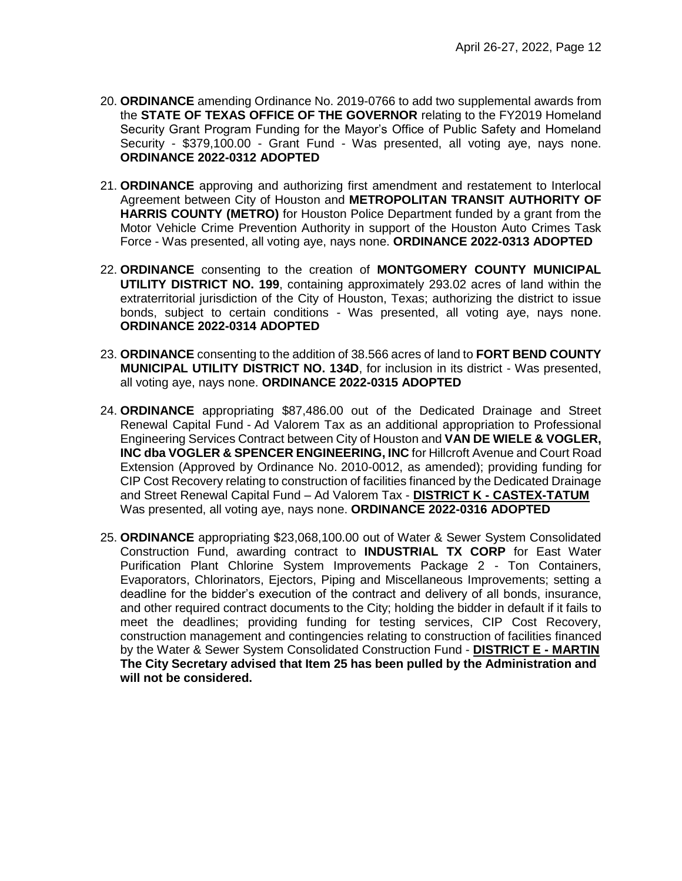- 20. **ORDINANCE** amending Ordinance No. 2019-0766 to add two supplemental awards from the **STATE OF TEXAS OFFICE OF THE GOVERNOR** relating to the FY2019 Homeland Security Grant Program Funding for the Mayor's Office of Public Safety and Homeland Security - \$379,100.00 - Grant Fund - Was presented, all voting aye, nays none. **ORDINANCE 2022-0312 ADOPTED**
- 21. **ORDINANCE** approving and authorizing first amendment and restatement to Interlocal Agreement between City of Houston and **METROPOLITAN TRANSIT AUTHORITY OF HARRIS COUNTY (METRO)** for Houston Police Department funded by a grant from the Motor Vehicle Crime Prevention Authority in support of the Houston Auto Crimes Task Force - Was presented, all voting aye, nays none. **ORDINANCE 2022-0313 ADOPTED**
- 22. **ORDINANCE** consenting to the creation of **MONTGOMERY COUNTY MUNICIPAL UTILITY DISTRICT NO. 199**, containing approximately 293.02 acres of land within the extraterritorial jurisdiction of the City of Houston, Texas; authorizing the district to issue bonds, subject to certain conditions - Was presented, all voting aye, nays none. **ORDINANCE 2022-0314 ADOPTED**
- 23. **ORDINANCE** consenting to the addition of 38.566 acres of land to **FORT BEND COUNTY MUNICIPAL UTILITY DISTRICT NO. 134D**, for inclusion in its district - Was presented, all voting aye, nays none. **ORDINANCE 2022-0315 ADOPTED**
- 24. **ORDINANCE** appropriating \$87,486.00 out of the Dedicated Drainage and Street Renewal Capital Fund - Ad Valorem Tax as an additional appropriation to Professional Engineering Services Contract between City of Houston and **VAN DE WIELE & VOGLER, INC dba VOGLER & SPENCER ENGINEERING, INC** for Hillcroft Avenue and Court Road Extension (Approved by Ordinance No. 2010-0012, as amended); providing funding for CIP Cost Recovery relating to construction of facilities financed by the Dedicated Drainage and Street Renewal Capital Fund – Ad Valorem Tax - **DISTRICT K - CASTEX-TATUM** Was presented, all voting aye, nays none. **ORDINANCE 2022-0316 ADOPTED**
- 25. **ORDINANCE** appropriating \$23,068,100.00 out of Water & Sewer System Consolidated Construction Fund, awarding contract to **INDUSTRIAL TX CORP** for East Water Purification Plant Chlorine System Improvements Package 2 - Ton Containers, Evaporators, Chlorinators, Ejectors, Piping and Miscellaneous Improvements; setting a deadline for the bidder's execution of the contract and delivery of all bonds, insurance, and other required contract documents to the City; holding the bidder in default if it fails to meet the deadlines; providing funding for testing services, CIP Cost Recovery, construction management and contingencies relating to construction of facilities financed by the Water & Sewer System Consolidated Construction Fund - **DISTRICT E - MARTIN The City Secretary advised that Item 25 has been pulled by the Administration and will not be considered.**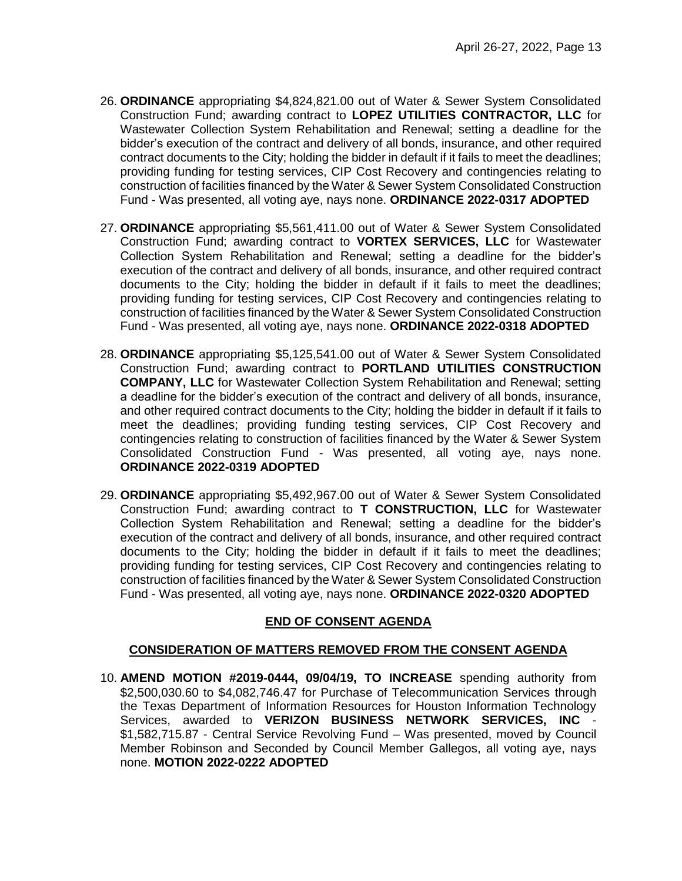- 26. **ORDINANCE** appropriating \$4,824,821.00 out of Water & Sewer System Consolidated Construction Fund; awarding contract to **LOPEZ UTILITIES CONTRACTOR, LLC** for Wastewater Collection System Rehabilitation and Renewal; setting a deadline for the bidder's execution of the contract and delivery of all bonds, insurance, and other required contract documents to the City; holding the bidder in default if it fails to meet the deadlines; providing funding for testing services, CIP Cost Recovery and contingencies relating to construction of facilities financed by the Water & Sewer System Consolidated Construction Fund - Was presented, all voting aye, nays none. **ORDINANCE 2022-0317 ADOPTED**
- 27. **ORDINANCE** appropriating \$5,561,411.00 out of Water & Sewer System Consolidated Construction Fund; awarding contract to **VORTEX SERVICES, LLC** for Wastewater Collection System Rehabilitation and Renewal; setting a deadline for the bidder's execution of the contract and delivery of all bonds, insurance, and other required contract documents to the City; holding the bidder in default if it fails to meet the deadlines; providing funding for testing services, CIP Cost Recovery and contingencies relating to construction of facilities financed by the Water & Sewer System Consolidated Construction Fund - Was presented, all voting aye, nays none. **ORDINANCE 2022-0318 ADOPTED**
- 28. **ORDINANCE** appropriating \$5,125,541.00 out of Water & Sewer System Consolidated Construction Fund; awarding contract to **PORTLAND UTILITIES CONSTRUCTION COMPANY, LLC** for Wastewater Collection System Rehabilitation and Renewal; setting a deadline for the bidder's execution of the contract and delivery of all bonds, insurance, and other required contract documents to the City; holding the bidder in default if it fails to meet the deadlines; providing funding testing services, CIP Cost Recovery and contingencies relating to construction of facilities financed by the Water & Sewer System Consolidated Construction Fund - Was presented, all voting aye, nays none. **ORDINANCE 2022-0319 ADOPTED**
- 29. **ORDINANCE** appropriating \$5,492,967.00 out of Water & Sewer System Consolidated Construction Fund; awarding contract to **T CONSTRUCTION, LLC** for Wastewater Collection System Rehabilitation and Renewal; setting a deadline for the bidder's execution of the contract and delivery of all bonds, insurance, and other required contract documents to the City; holding the bidder in default if it fails to meet the deadlines; providing funding for testing services, CIP Cost Recovery and contingencies relating to construction of facilities financed by the Water & Sewer System Consolidated Construction Fund - Was presented, all voting aye, nays none. **ORDINANCE 2022-0320 ADOPTED**

## **END OF CONSENT AGENDA**

## **CONSIDERATION OF MATTERS REMOVED FROM THE CONSENT AGENDA**

10. **AMEND MOTION #2019-0444, 09/04/19, TO INCREASE** spending authority from \$2,500,030.60 to \$4,082,746.47 for Purchase of Telecommunication Services through the Texas Department of Information Resources for Houston Information Technology Services, awarded to **VERIZON BUSINESS NETWORK SERVICES, INC** - \$1,582,715.87 - Central Service Revolving Fund – Was presented, moved by Council Member Robinson and Seconded by Council Member Gallegos, all voting aye, nays none. **MOTION 2022-0222 ADOPTED**